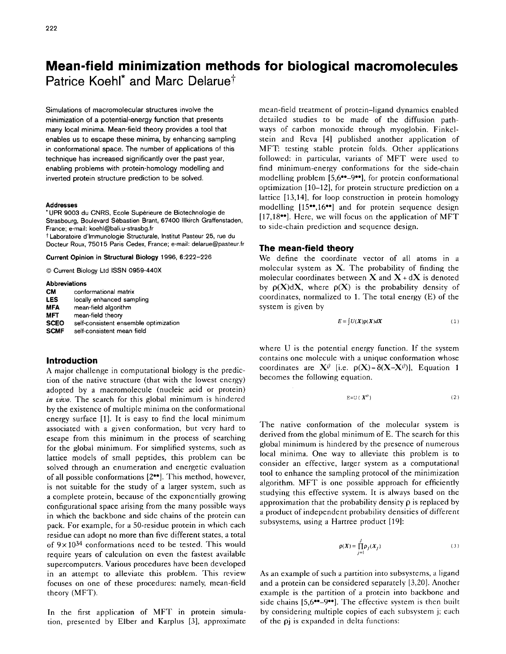# **Mean-field minimization methods for biological macromolecules**  Patrice Koehl<sup>\*</sup> and Marc Delarue<sup>†</sup>

Simulations of macromolecular structures involve the minimization of a potential-energy function that presents many local minima. Mean-field theory provides a tool that enables us to escape these minima, by enhancing sampling in conformational space. The number of applications of this technique has increased significantly over the past year, enabling problems with protein-homology modelling and inverted protein structure prediction to be solved.

#### **Addresses**

\* UPR 9003 du CNRS, Ecole Sup6rieure de Biotechnologie de Strasbourg, Boulevard Sebastien Brant, 6?400 IIIkirch Graffenstaden, France; e-mail: koehl@bali.u-strasbg.fr t Laboratoire d'lmmunologie Structurale, Institut Pasteur 25, rue du **Docteur** Roux, 75015 Paris Cedex, France; e-mail: delarue@pasteur.fr

Current **Opinion in Structural Biology** 1996, 6:222-226

© Current Biology Ltd ISSN 0959-440X

#### **Abbreviations**

| <b>CM</b>   | conformational matrix                 |
|-------------|---------------------------------------|
| <b>LES</b>  | locally enhanced sampling             |
| <b>MFA</b>  | mean field algorithm                  |
| MFT         | mean-field theory                     |
| <b>SCEO</b> | self-consistent ensemble optimization |
| <b>SCMF</b> | self-consistent mean field            |

# **Introduction**

A major challenge in computational biology is the prediction of the native structure (that with the lowest energy) adopted by a macromolecule (nucleic acid or protein) *in vivo.* The search for this global minimum is hindered by the existence of multiple minima on the conformational energy surface [1]. It is easy to find the local minimum associated with a given conformation, but very hard to escape from this minimum in the process of searching for the global minimum. For simplified systems, such as lattice models of small peptides, this problem can be solved through an enumeration and energetic evaluation of all possible conformations [2<sup>••</sup>]. This method, however, is not suitable for the study of a larger system, such as a complete protein, because of the exponentially growing configurational space arising from the many possible ways in which the backbone and side chains of the protein can pack. For example, for a 50-residue protein in which each residue can adopt no more than five different states, a total of 9x 1034 conformations need to be tested. This would require years of calculation on even the fastest available supercomputers. Various procedures have been developed in an attempt to alleviate this problem. This review focuses on one of these procedures: namely, mean-field theory (MFT).

In the first application of MFT in protein simulation, presented by Elber and Karplus [3], approximate mean-field treatment of protein-ligand dynamics enabled detailed studies to be made of the diffusion pathways of carbon monoxide through myoglobin. Finkelstein and Reva [4] published another application of MFT: testing stable protein folds. Other applications followed: in particular, variants of MFT were used to find minimum-energy conformations for the side-chain modelling problem [5,6<sup>••</sup>-9<sup>••</sup>], for protein conformational optimization [10-12], for protein structure prediction on a lattice [13,14], for loop construction in protein homology modelling  $[15\cdot 0.16\cdot 0.16\cdot 0.16\cdot 0.16\cdot 0.16\cdot 0.16\cdot 0.16\cdot 0.16\cdot 0.16\cdot 0.16\cdot 0.16\cdot 0.16\cdot 0.16\cdot 0.16\cdot 0.16\cdot 0.16\cdot 0.16\cdot 0.16\cdot 0.16\cdot 0.16\cdot 0.16\cdot 0.16\cdot 0.16\cdot 0.16\cdot 0.16\cdot 0.16\cdot 0.16\cdot 0.16\cdot 0.16\cdot 0$ [17,18°°]. Here, we will focus on the application of MFT to side-chain prediction and sequence design.

## **The mean-field theory**

We define the coordinate vector of all atoms in a molecular system as  $X$ . The probability of finding the molecular coordinates between  $X$  and  $X + dX$  is denoted by  $\rho(X)dX$ , where  $\rho(X)$  is the probability density of coordinates, normalized to 1. The total energy (E) of the system is given by

$$
E = \int U(X)\rho(X)dX \tag{1}
$$

where U is the potential energy function. If the system contains one molecule with a unique conformation whose coordinates are  $X^{\theta}$  [i.e.  $\rho(X) = \delta(X-X^{\theta})$ ], Equation 1 becomes the following equation.

$$
E=U(X^0)
$$
 (2)

The native conformation of the molecular system is derived from the global minimum of E. The search for this global minimum is hindered by the presence of numerous local minima. One way to alleviate this problem is to consider an effective, larger system as a computational tool to enhance the sampling protocol of the minimization algorithm. MFT is one possible approach for efficiently studying this effective system. It is always based on the approximation that the probability density  $\rho$  is replaced by a product of independent probability densities of different subsystems, using a Hartree product [19]:

$$
\rho(X) = \prod_{j=1}^{J} \rho_j(X_j)
$$
\n(3)

As an example of such a partition into subsystems, a ligand and a protein can be considered separately [3,20]. Another example is the partition of a protein into backbone and side chains [5,6<sup>••</sup>-9<sup>••</sup>]. The effective system is then built by considering multiple copies of each subsystem j; each of the pj is expanded in delta functions: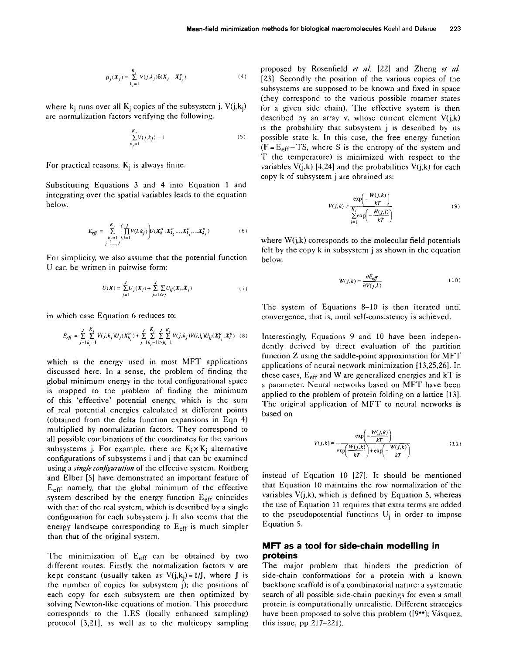$$
\rho_j(X_j) = \sum_{k_j=1}^{K_i} V(j, k_j) \delta(X_j - X_{k_j}^o)
$$
\n(4)

where  $k_i$  runs over all  $K_i$  copies of the subsystem j.  $V(j,k_i)$ are normalization factors verifying the following.

$$
\sum_{k_j=1}^{K_j} V(j, k_j) = 1
$$
\n(5)

For practical reasons,  $K_i$  is always finite.

Substituting Equations 3 and 4 into Equation 1 and integrating over the spatial variables leads to the equation below.

$$
E_{eff} = \sum_{\substack{k_j=1\\j=1,\dots,J}}^{K_j} \left( \prod_{l=1}^J V(l,k_j) \right) U(X_{k_1}^o, X_{k_2}^o, \dots, X_{k_j}^o, \dots, X_{k_J}^o)
$$
 (6)

For simplicity, we also assume that the potential function U can be written in pairwise form:

$$
U(X) = \sum_{j=1}^{J} U_j(X_j) + \sum_{j=1}^{J} \sum_{i>j} U_{ij}(X_i, X_j)
$$
 (7)

in which case Equation 6 reduces to:

$$
E_{eff} = \sum_{j=1}^J \sum_{k_j=1}^{K_i} V(j,k_j) U_j (X_{k_j}^o) + \sum_{j=1}^J \sum_{k_j=1}^{K_j} \sum_{i>j,l_i=1}^{J} V(j,k_j) V(i,l_i) U_{ij} (X_{k_j}^o,X_{l_i}^o) \quad (8)
$$

which is the energy used in most MFT applications discussed here. In a sense, the problem of finding the global minimum energy in the total configurational space is mapped to the problem of finding the minimum of this 'effective' potential energy, which is the sum of real potential energies calculated at different points (obtained from the delta function expansions in Eqn 4) multiplied by normalization factors. They correspond to all possible combinations of the coordinates for the various subsystems j. For example, there are  $K_i \times K_i$  alternative configurations of subsystems i and j that can be examined using a *single configuration* of the effective system. Roitberg and Elber [5] have demonstrated an important feature of  $E_{\text{eff}}$  namely, that the global minimum of the effective system described by the energy function  $E_{\text{eff}}$  coincides with that of the real system, which is described by a single configuration for each subsystem j. It also seems that the energy landscape corresponding to  $E_{\text{eff}}$  is much simpler than that of the original system.

The minimization of  $E_{\text{eff}}$  can be obtained by two different routes. Firstly, the normalization factors v are kept constant (usually taken as  $V(i, k_i) = 1/j$ , where J is the number of copies for subsystem j); the positions of each copy for each subsystem are then optimized by solving Newton-like equations of motion. This procedure corresponds to the LES (locally enhanced sampling) protocol [3,21], as well as to the multicopy sampling proposed by Rosenfield *et aL* [22] and Zheng *et aL*  [23]. Secondly the position of the various copies of the subsystems are supposed to be known and fixed in space (they correspond to the various possible rotamer states for a given side chain). The effective system is then described by an array v, whose current element  $V(i,k)$ is the probability that subsystem j is described by its possible state k. In this case, the free energy function  $(F = E<sub>eff</sub> - TS$ , where S is the entropy of the system and T the temperature) is minimized with respect to the variables  $V(j,k)$  [4,24] and the probabilities  $V(j,k)$  for each copy k of subsystem j are obtained as:

$$
V(j,k) = \frac{\exp\left(-\frac{W(j,k)}{kT}\right)}{\sum_{l=1}^{K} \exp\left(-\frac{W(j,l)}{kT}\right)}
$$
(9)

where  $W(j,k)$  corresponds to the molecular field potentials felt by the copy k in subsystem j as shown in the equation below.

$$
W(j,k) = \frac{\partial E_{eff}}{\partial V(j,k)}\tag{10}
$$

The system of Equations 8-10 is then iterated until convergence, that is, until self-consistency is achieved.

Interestingly, Equations 9 and 10 have been independently derived by direct evaluation of the partition function Z using the saddle-point approximation for MFT applications of neural network minimization [13,25,26]. In these cases,  $E_{\text{eff}}$  and W are generalized energies and kT is a parameter. Neural networks based on MFT have been applied to the problem of protein folding on a lattice [13]. The original application of MFT to neural networks is based on

$$
V(j,k) = \frac{\exp\left(-\frac{W(j,k)}{kT}\right)}{\exp\left(\frac{W(j,k)}{kT}\right) + \exp\left(-\frac{W(j,k)}{kT}\right)}
$$
(11)

instead of Equation 10 [27]. It should be mentioned that Equation 10 maintains the row normalization of the variables  $V(i,k)$ , which is defined by Equation 5, whereas the use of Equation 11 requires that extra terms are added to the pseudopotential functions  $U_i$  in order to impose Equation 5.

# **MFT as a tool for side-chain modelling in proteins**

The major problem that hinders the prediction of side-chain conformations for a protein with a known backbone scaffold is of a combinatorial nature: a systematic search of all possible side-chain packings for even a small protein is computationally unrealistic. Different strategies have been proposed to solve this problem ([9••]; Vásquez, this issue, pp 217-221).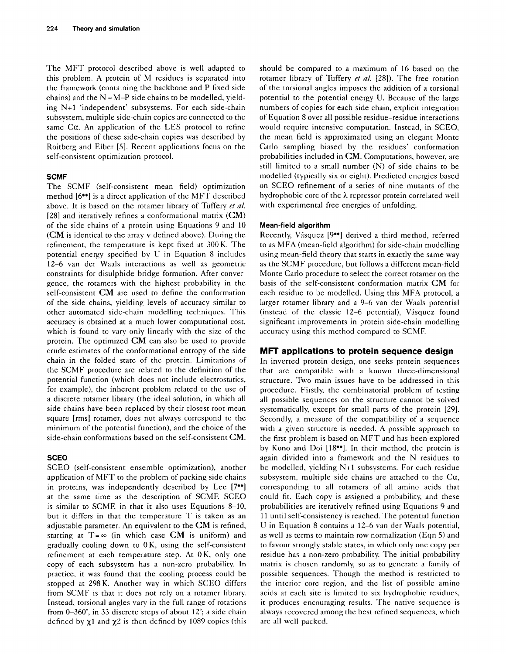The MFT protocol described above is well adapted to this problem. A protein of M residues is separated into the framework (containing the backbone and P fixed side chains) and the  $N = M-P$  side chains to be modelled, yielding N+I 'independent' subsystems. For each side-chain subsystem, multiple side-chain copies are connected to the same  $Ca$ . An application of the LES protocol to refine the positions of these side-chain copies was described by Roitberg and Elber [5]. Recent applications focus on the self-consistent optimization protocol.

#### **SCMF**

The SCMF (self-consistent mean field) optimization method  $[6\bullet\bullet]$  is a direct application of the MFT described above. It is based on the rotamer library of Tuffery *et a/.*  [28] and iteratively refines a conformational matrix (CM) of the side chains of a protein using Equations 9 and 10 (CM is identical to the array v defined above). During the refinement, the temperature is kept fixed at 300 K. The potential energy specified by U in Equation 8 includes 12-6 van der Waals interactions as well as geometric constraints for disulphide bridge formation. After convergence, the rotamers with the highest probability in the self-consistent CM are used to define the conformation of the side chains, yielding levels of accuracy similar to other automated side-chain modelling techniques. This accuracy is obtained at a much lower computational cost, which is found to vary only linearly with the size of the protein. The optimized CM can also be used to provide crude estimates of the conformational entropy of the side chain in the folded state of the protein. Limitations of the SCMF procedure are related to the definition of the potential function (which does not include electrostatics, for example), the inherent problem related to the use of a discrete rotamer library (the ideal solution, in which all side chains have been replaced by their closest root mean square [rms] rotamer, does not always correspond to the minimum of the potential function), and the choicc of the side-chain conformations based on the self-consistent CM.

# **SCEO**

SCEO (self-consistent ensemble optimization), another application of MFT to the problem of packing side chains in proteins, was independently described by Lee [7<sup>•</sup>°] at the same time as the description of SCME SCEO is similar to SCMF, in that it also uses Equations  $8-10$ , but it differs in that the temperature T is taken as an adjustable parameter. An equivalent to the  $CM$  is refined, starting at  $T = \infty$  (in which case CM is uniform) and gradually cooling down to 0 K, using the self-consistent refinement at each temperature step. At 0K, only one copy of each subsystem has a non-zero probability. In practice, it was found that the cooling process could be stopped at 298K. Another way in which SCEO differs from SCMF is that it does not rely on a rotamcr library. Instead, torsional angles vary in the full range of rotations from  $0-360^{\circ}$ , in 33 discrete steps of about 12°; a side chain defined by  $\chi$ 1 and  $\chi$ 2 is then defined by 1089 copies (this should be compared to a maximum of 16 based on the totamer library of Tuffery *et al.* [28]). The free rotation of the torsional angles imposes the addition of a torsional potential to the potential energy U. Because of the large numbers of copies for each side chain, explicit integration of Equation 8 over all possible residue-residue interactions would require intensive computation. Instead, in SCEO, the mean field is approximated using an elegant Monte Carlo sampling biased by the residues' conformation probabilities included in CM. Computations, however, are still limited to a small number (N) of side chains to be modelled (typically six or eight). Predicted energies based on SCEO refinement of a series of nine mutants of the hydrophobic core of the  $\lambda$  repressor protein correlated well with experimental free energies of unfolding.

## **Mean-field algorithm**

Recently, Vásquez [9\*\*] derived a third method, referred to as MFA (mean-field algorithm) for side-chain modelling using mean-field theory that starts in exactly the same way as the SCMF procedure, but follows a different mean-field Monte Carlo procedure to select the correct rotamer on the basis of the self-consistent conformation matrix CM for each residue to be modelled. Using this MFA protocol, a larger rotamer library and a 9-6 van der Waals potential  $(instead of the classic 12–6 potential)$ , Vásquez found significant improvements in protein side-chain modelling accuracy using this method compared to SCME

# **MFT applications to protein sequence design**

In inverted protein design, one seeks protein sequences that arc compatible with a known three-dimensional structure. Two main issues have to be addressed in this procedure. Firstly, the combinatorial problem of testing all possible sequences on the structure cannot be solved systematically, except for small parts of the protein [29]. Secondly, a measure of the compatibility of a sequence with a given structure is needed. A possible approach to the first problem is based on MFT and has been explored by Kono and Doi [18°°]. In their method, the protein is again divided into a framework and the N residues to be modelled, yielding N+I subsystems. For each residue subsystem, multiple side chains are attached to the  $Ca$ , corresponding to all rotamers of all amino acids that could fit. Each copy is assigned a probability, and these probabilities are iteratively refined using Equations 9 and 11 until self-consistency is reached. The potential function U in Equation 8 contains a 12–6 van der Waals potential, as well as terms to maintain row normalization (Eqn 5) and to favour strongly stable states, in which only one copy per residue has a non-zero probability. The initial probability matrix is chosen randomly, so as to generate a family of possible sequences. Though the method is restricted to the interior core region, and the list of possiblc amino acids at each site is limited to six hydrophobic residues, it produces encouraging results. The native sequence is always recovered among the best refined sequences, which are all well packed.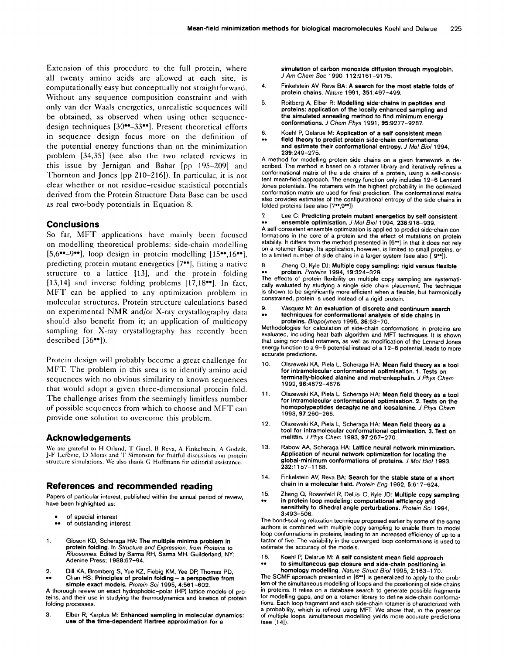Extension of this procedure to the full protein, where all twenty amino acids are allowed at each site, is computationally easy but conceptually not straightforward. Without any sequence composition constraint and with only van der Waals energetics, unrealistic sequences will be obtained, as observed when using other sequencedesign techniques [30\*\*-33\*\*]. Present theoretical efforts in sequence design focus more on the definition of the potential energy functions than on the minimization problem [34,35] (see also the two related reviews in this issue by Jernigan and Bahar [pp 195-209] and Thornton and Jones [pp 210-216]). In particular, it is not clear whether or not residue-residue statistical potentials derived from the Protein Structure Data Base can be used as real two-body potentials in Equation 8.

# **Conclusions**

So far, MFT applications have mainly been focused on modelling theoretical problems: side-chain modelling  $[5,6^{\bullet\bullet}-9^{\bullet\bullet}]$ , loop design in protein modelling  $[15^{\bullet\bullet},16^{\bullet\bullet}]$ , predicting protein mutant energetics [7••], fitting a native structure to a lattice [13], and the protein folding [13,14] and inverse folding problems [17,18°°]. In fact, MFT can be applied to any optimization problem in molecular structures. Protein structure calculations based on experimental NMR and/or X-ray crystallography data should also benefit from it; an application of multicopy sampling for X-ray crystallography has recently been described [36••]).

Protein design will probably become a great challenge for MFT. The problem in this area is to identify amino acid sequences with no obvious similarity to known sequences that would adopt a given three-dimensional protein fold. The challenge arises from the seemingly limitless number of possible sequences from which to choose and MFT can provide one solution to overcome this problem.

# **Acknowledgements**

Wc arc grateful to H Orland, T Garcl, B Rcva, A Finkclstcin, A Godzik, J-F l.efevre, I) Moras and T Simonson for fruitful discussions on protein structure simulations. Wc also thank G Hoffmann for editorial assistance.

# **References and recommended reading**

Papers of particular interest, published within the annual period of review, have been highlighted as:

- of special interest
- of outstanding interest
- **1.** Gibson KD, Scheraga HA: The multiple minima problem in **protein** folding. In *Structure and Expression: from Proteins to Ribosomes.* Edited by Sarma RH, Sarma MH. Guilderland, NY: Adenine Press; 1988:67-94.
- 2. Dill KA, Bromberg S, Yue KZ, Fiebig KM, Yee DP, Thomas PD, Chan HS: Principles of protein folding - a perspective from simple exact models. *Protein Sci* 1995, 4:561-602.

A thorough review on exact hydrophobic-polar (HP) lattice models of proteins, and their use in studying the thermodynamics and kinetics of protein folding processes.

3. Elber R, Karplus M: **Enhanced sampling in molecular dynamics: use of the time-dependent Hartree approximation for** a

simulation of **carbon monoxide diffusion through myoglobin.**  *J Am Chem Soc* 1 gg0, 112:9161-9175,

- **4. Finkelstein AV,** Reva BA: A **search for the** most stable folds of **protein chains.** *Nature* 1991, 351:497-499.
- 5. Roitberg A, Elber R: **Modelling side-chains in peptides and proteins: application of the locally enhanced sampling and the simulated annealing method to find minimum energy conformations.** *J Chem Phys* 1991, 95:9277-9287
- **6. Koehl P, Delarue M: Application** of a self **consistent mean**
- field theory to predict protein side-chain conformations and estimate their conformational entropy. *J Mol Biol* 1994, 239:249-275,

A method for modelling protein side chains on a given framework is described. The method is based on a rotamer library and iteratively refines a conformational matrix of the side chains of a protein, using a self-consistent mean-field approach. The energy function only includes 12-6 Lennard Jones potentials. The rotamers with the highest probability in the optimized conformation matrix are used for final prediction. The conformational matrix also provides estimates of the configurational entropy of the side chains in folded proteins (see also [7\*\*,9\*\*])

7. Lee C: **Predicting protein mutant energetics by self consistent**  • o **ensemble optimisation.** *J Mol Biol* 1994, 236:918-939.

A self-consistent ensemble optimization is applied to predict side-chain conformations in the core of a protein and the effect of mutations on protein stability. It differs from the method presented in [6\*°] in that it does not rely on a rotamer library. Its application, however, is limited to small proteins, or to a limited number of side chains in a larger system (see also [ 9°']).

8. Zheng Q, Kyle DJ: Multiple copy sampling: rigid versus flexible ,,o protein. *Proteins* 1994, 19:324-329.

The effects of protein flexibility on multiple copy sampling are systematically evaluated by studying a single side chain placement. The technique is shown to be significantly more efficient when a flexible, but harmonically constrained, protein is used instead of a rigid protein.

9. V&squez M: **An evaluation of discrete and continuum search**  • e **techniques for conformational analysis of side chains** in **proteins.** *Biopo/ymers* 1995, 36:53-70.

Methodologies for calculation of side-chain conformations in proteins are evaluated, including heat bath algorithm and MFT techniques. It is shown that using non-ideal rotamers, as well as modification of the Lennard Jones energy function to a 9-6 potential instead of a 1 2-6 potential, leads to more accurate predictions.

- 10, Olszewski KA, Piela L, Scheraga HA: Mean field theory as a **tool for intramolecular** conformational optimisation. 1. **Tests on terminally-blocked alanine and met-enkephalin.** *J Phys Chem*  1992, 96:4672-4676.
- 11. Olszewski KA, Piela L, Scheraga HA: Mean field **theory as a tool for intramolecular** conformational optimisation. 2. Tests **on the homopolypeptides decaglycine and icosalanine.** *J Phys Chem*  1993, 97:260-266.
- 12. Olszewski KA, Piela L, Scheraga HA: Mean field **theory as a tool for intramolecular conformational optimisation. 3. Test on**  melittin. *J Phys Chem* 1993, 97:267-270.
- 13. Rabow AA, Scheraga HA: **Lattice neural network** minimization. **Application of neural** network optimization for locating **the**  global-minimum conformations of proteins. *J Mo/Bio11993,*  232:1157-1168.
- 14. Finkelstein AV, Reva BA: **Search for the stable state of a short chain** in a molecular field. *Protein Eng* 1992, 5:61 7-624,
- 15. Zheng Q, Rosenfeld R, DeLisi C, Kyle JD: **Multiple copy sampling**  • . in **protein loop modeling: computational efficiency and**  sensitivity to **dihedral angle** perturbations. *Protein Sci* 1994, 3:493-506.

The bond-scaling relaxation technique proposed earlier by some of the same authors is combined with multiple copy sampling to enable them to model loop conformations in proteins, leading to an increased efficiency of up to a factor of five. The variability in the converged loop conformations is used to estimate the accuracy of the models.

16. Koehl P, Delarue M: **A self consistent mean field approach**  • - to **simultaneous gap closure and side-chain positioning** in

**homology** modelling. *Nature Struct Biol* 1995, 2:163-170. The SCMF approach presented in [6<sup>\*</sup>] is generalized to apply to the prob-

lem of the simultaneous modelling of loops and the positioning of side chains in proteins. It relies on a database search to generate possible fragments for modelling gaps, and on a rotamer library to define side-chain conformations. Each loop fragment and each side-chain rotamer is characterized with a probability, which is refined using MFT. We show that, in the presence of multiple loops, simultaneous modelling yields more accurate predictions (see [14]).